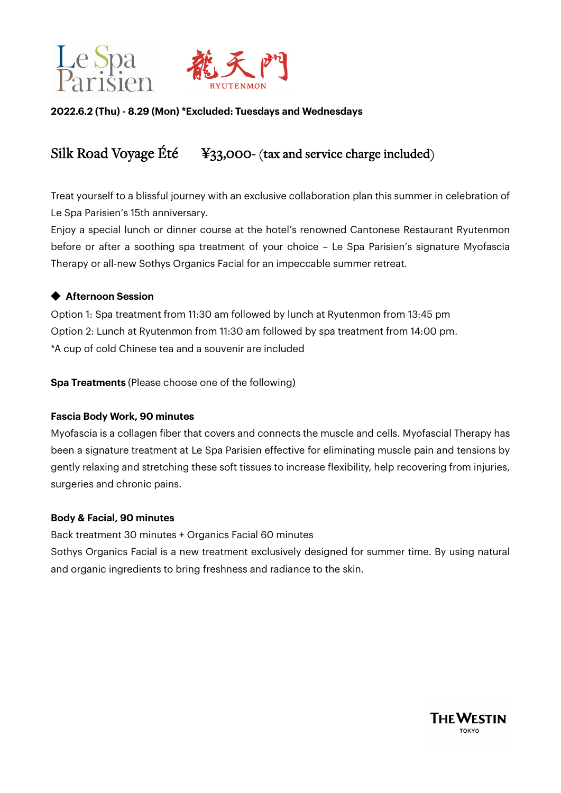



# **2022.6.2 (Thu) - 8.29 (Mon) \*Excluded: Tuesdays and Wednesdays**

# Silk Road Voyage Été ¥33,000- (tax and service charge included)

Treat yourself to a blissful journey with an exclusive collaboration plan this summer in celebration of Le Spa Parisien's 15th anniversary.

Enjoy a special lunch or dinner course at the hotel's renowned Cantonese Restaurant Ryutenmon before or after a soothing spa treatment of your choice – Le Spa Parisien's signature Myofascia Therapy or all-new Sothys Organics Facial for an impeccable summer retreat.

# **◆ Afternoon Session**

Option 1: Spa treatment from 11:30 am followed by lunch at Ryutenmon from 13:45 pm Option 2: Lunch at Ryutenmon from 11:30 am followed by spa treatment from 14:00 pm. \*A cup of cold Chinese tea and a souvenir are included

**Spa Treatments** (Please choose one of the following)

#### **Fascia Body Work, 90 minutes**

Myofascia is a collagen fiber that covers and connects the muscle and cells. Myofascial Therapy has been a signature treatment at Le Spa Parisien effective for eliminating muscle pain and tensions by gently relaxing and stretching these soft tissues to increase flexibility, help recovering from injuries, surgeries and chronic pains.

#### **Body & Facial, 90 minutes**

Back treatment 30 minutes + Organics Facial 60 minutes Sothys Organics Facial is a new treatment exclusively designed for summer time. By using natural and organic ingredients to bring freshness and radiance to the skin.